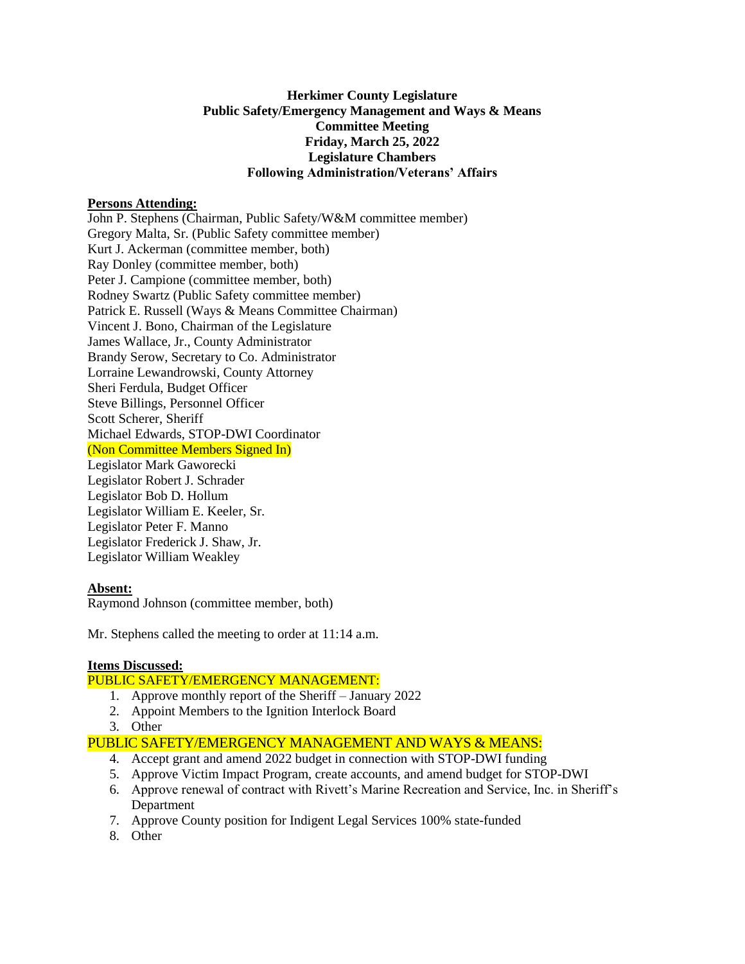## **Herkimer County Legislature Public Safety/Emergency Management and Ways & Means Committee Meeting Friday, March 25, 2022 Legislature Chambers Following Administration/Veterans' Affairs**

### **Persons Attending:**

John P. Stephens (Chairman, Public Safety/W&M committee member) Gregory Malta, Sr. (Public Safety committee member) Kurt J. Ackerman (committee member, both) Ray Donley (committee member, both) Peter J. Campione (committee member, both) Rodney Swartz (Public Safety committee member) Patrick E. Russell (Ways & Means Committee Chairman) Vincent J. Bono, Chairman of the Legislature James Wallace, Jr., County Administrator Brandy Serow, Secretary to Co. Administrator Lorraine Lewandrowski, County Attorney Sheri Ferdula, Budget Officer Steve Billings, Personnel Officer Scott Scherer, Sheriff Michael Edwards, STOP-DWI Coordinator (Non Committee Members Signed In) Legislator Mark Gaworecki Legislator Robert J. Schrader Legislator Bob D. Hollum Legislator William E. Keeler, Sr. Legislator Peter F. Manno Legislator Frederick J. Shaw, Jr. Legislator William Weakley

### **Absent:**

Raymond Johnson (committee member, both)

Mr. Stephens called the meeting to order at 11:14 a.m.

### **Items Discussed:**

### PUBLIC SAFETY/EMERGENCY MANAGEMENT:

- 1. Approve monthly report of the Sheriff January 2022
- 2. Appoint Members to the Ignition Interlock Board
- 3. Other

# PUBLIC SAFETY/EMERGENCY MANAGEMENT AND WAYS & MEANS:

- 4. Accept grant and amend 2022 budget in connection with STOP-DWI funding
- 5. Approve Victim Impact Program, create accounts, and amend budget for STOP-DWI
- 6. Approve renewal of contract with Rivett's Marine Recreation and Service, Inc. in Sheriff's Department
- 7. Approve County position for Indigent Legal Services 100% state-funded
- 8. Other